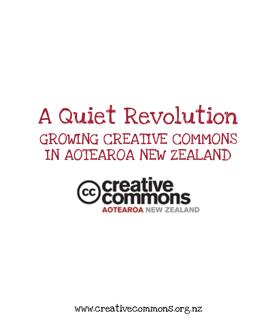# A Quiet Revolution GROWING CREATIVE COMMONS IN AOTEAROA NEW ZEALAND



www.creativecommons.org.nz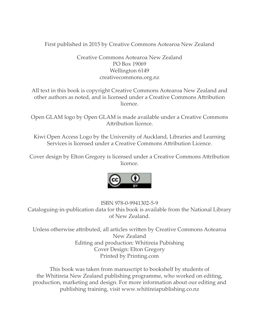First published in 2015 by Creative Commons Aotearoa New Zealand

Creative Commons Aotearoa New Zealand PO Box 19069 Wellington 6149 creativecommons.org.nz

All text in this book is copyright Creative Commons Aotearoa New Zealand and other authors as noted, and is licensed under a Creative Commons Attribution licence.

Open GLAM logo by Open GLAM is made available under a Creative Commons Attribution licence

Kiwi Open Access Logo by the University of Auckland, Libraries and Learning Services is licensed under a Creative Commons Attribution Licence.

Cover design by Elton Gregory is licensed under a Creative Commons Attribution licence.



ISBN 978-0-9941302-5-9 Cataloguing-in-publication data for this book is available from the National Library of New Zealand.

Unless otherwise attributed, all articles written by Creative Commons Aotearoa New Zealand Editing and production: Whitireia Pubishing Cover Design: Elton Gregory Printed by Printing.com

This book was taken from manuscript to bookshelf by students of the Whitireia New Zealand publishing programme, who worked on editing, production, marketing and design. For more information about our editing and publishing training, visit www.whitireiapublishing.co.nz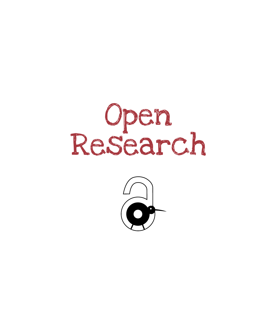

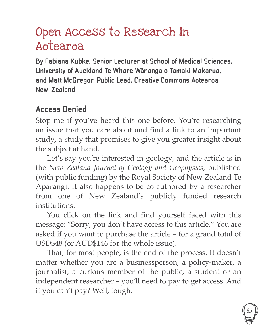## Open Access to Research in Aotearoa

**By Fabiana Kubke, Senior Lecturer at School of Medical Sciences, University of Auckland Te Whare Wānanga o Tamaki Makarua, and Matt McGregor, Public Lead, Creative Commons Aotearoa New Zealand**

#### **Access Denied**

Stop me if you've heard this one before. You're researching an issue that you care about and find a link to an important study, a study that promises to give you greater insight about the subject at hand.

Let's say you're interested in geology, and the article is in the *New Zealand Journal of Geology and Geophysics*, published (with public funding) by the Royal Society of New Zealand Te Aparangi. It also happens to be co-authored by a researcher from one of New Zealand's publicly funded research institutions.

You click on the link and find yourself faced with this message: "Sorry, you don't have access to this article." You are asked if you want to purchase the article – for a grand total of USD\$48 (or AUD\$146 for the whole issue).

That, for most people, is the end of the process. It doesn't matter whether you are a businessperson, a policy-maker, a journalist, a curious member of the public, a student or an independent researcher – you'll need to pay to get access. And if you can't pay? Well, tough.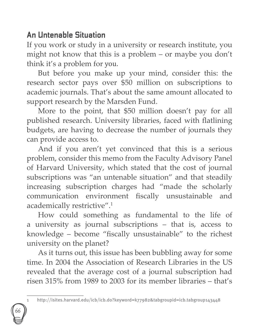### **An Untenable Situation**

66

If you work or study in a university or research institute, you might not know that this is a problem – or maybe you don't think it's a problem for you.

But before you make up your mind, consider this: the research sector pays over \$50 million on subscriptions to academic journals. That's about the same amount allocated to support research by the Marsden Fund.

More to the point, that \$50 million doesn't pay for all published research. University libraries, faced with flatlining budgets, are having to decrease the number of journals they can provide access to.

And if you aren't yet convinced that this is a serious problem, consider this memo from the Faculty Advisory Panel of Harvard University, which stated that the cost of journal subscriptions was "an untenable situation" and that steadily increasing subscription charges had "made the scholarly communication environment fiscally unsustainable and academically restrictive".1

How could something as fundamental to the life of a university as journal subscriptions – that is, access to knowledge – become "fiscally unsustainable" to the richest university on the planet?

As it turns out, this issue has been bubbling away for some time. In 2004 the Association of Research Libraries in the US revealed that the average cost of a journal subscription had risen 315% from 1989 to 2003 for its member libraries – that's

<sup>1</sup> http://isites.harvard.edu/icb/icb.do?keyword=k77982&tabgroupid=icb.tabgroup143448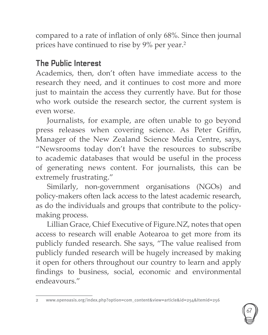compared to a rate of inflation of only 68%. Since then journal prices have continued to rise by 9% per year.<sup>2</sup>

### **The Public Interest**

Academics, then, don't often have immediate access to the research they need, and it continues to cost more and more just to maintain the access they currently have. But for those who work outside the research sector, the current system is even worse.

Journalists, for example, are often unable to go beyond press releases when covering science. As Peter Griffin, Manager of the New Zealand Science Media Centre, says, "Newsrooms today don't have the resources to subscribe to academic databases that would be useful in the process of generating news content. For journalists, this can be extremely frustrating."

Similarly, non-government organisations (NGOs) and policy-makers often lack access to the latest academic research, as do the individuals and groups that contribute to the policymaking process.

Lillian Grace, Chief Executive of Figure.NZ, notes that open access to research will enable Aotearoa to get more from its publicly funded research. She says, "The value realised from publicly funded research will be hugely increased by making it open for others throughout our country to learn and apply findings to business, social, economic and environmental endeavours."



<sup>2</sup> www.openoasis.org/index.php?option=com\_content&view=article&id=254&Itemid=256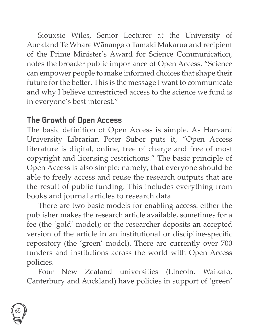Siouxsie Wiles, Senior Lecturer at the University of Auckland Te Whare Wānanga o Tamaki Makarua and recipient of the Prime Minister's Award for Science Communication, notes the broader public importance of Open Access. "Science can empower people to make informed choices that shape their future for the better. This is the message I want to communicate and why I believe unrestricted access to the science we fund is in everyone's best interest."

#### **The Growth of Open Access**

The basic definition of Open Access is simple. As Harvard University Librarian Peter Suber puts it, "Open Access literature is digital, online, free of charge and free of most copyright and licensing restrictions." The basic principle of Open Access is also simple: namely, that everyone should be able to freely access and reuse the research outputs that are the result of public funding. This includes everything from books and journal articles to research data.

There are two basic models for enabling access: either the publisher makes the research article available, sometimes for a fee (the 'gold' model); or the researcher deposits an accepted version of the article in an institutional or discipline-specific repository (the 'green' model). There are currently over 700 funders and institutions across the world with Open Access policies.

Four New Zealand universities (Lincoln, Waikato, Canterbury and Auckland) have policies in support of 'green'

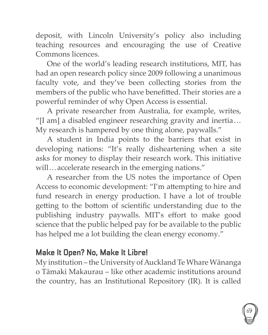deposit, with Lincoln University's policy also including teaching resources and encouraging the use of Creative Commons licences.

One of the world's leading research institutions, MIT, has had an open research policy since 2009 following a unanimous faculty vote, and they've been collecting stories from the members of the public who have benefitted. Their stories are a powerful reminder of why Open Access is essential.

A private researcher from Australia, for example, writes, "[I am] a disabled engineer researching gravity and inertia …  My research is hampered by one thing alone, paywalls."

A student in India points to the barriers that exist in developing nations: "It's really disheartening when a site asks for money to display their research work. This initiative will ... accelerate research in the emerging nations."

A researcher from the US notes the importance of Open Access to economic development: "I'm attempting to hire and fund research in energy production. I have a lot of trouble getting to the bottom of scientific understanding due to the publishing industry paywalls. MIT's effort to make good science that the public helped pay for be available to the public has helped me a lot building the clean energy economy."

#### **Make It Open? No, Make It Libre!**

My institution – the University of Auckland Te Whare Wānanga o Tāmaki Makaurau – like other academic institutions around the country, has an Institutional Repository (IR). It is called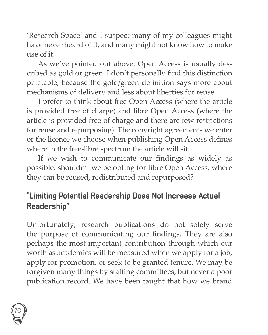'Research Space' and I suspect many of my colleagues might have never heard of it, and many might not know how to make  $use$  of it.

As we've pointed out above, Open Access is usually described as gold or green. I don't personally find this distinction palatable, because the gold/green definition says more about mechanisms of delivery and less about liberties for reuse.

I prefer to think about free Open Access (where the article is provided free of charge) and libre Open Access (where the article is provided free of charge and there are few restrictions for reuse and repurposing). The copyright agreements we enter or the licence we choose when publishing Open Access defines where in the free-libre spectrum the article will sit.

If we wish to communicate our findings as widely as possible, shouldn't we be opting for libre Open Access, where they can be reused, redistributed and repurposed?

### **"Limiting Potential Readership Does Not Increase Actual Readership"**

Unfortunately, research publications do not solely serve the purpose of communicating our findings. They are also perhaps the most important contribution through which our worth as academics will be measured when we apply for a job, apply for promotion, or seek to be granted tenure. We may be forgiven many things by staffing committees, but never a poor publication record. We have been taught that how we brand

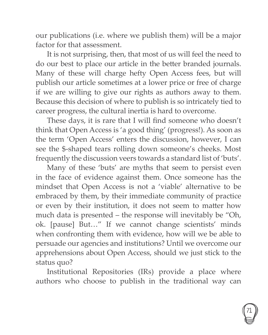our publications (i.e. where we publish them) will be a major factor for that assessment.

It is not surprising, then, that most of us will feel the need to do our best to place our article in the better branded journals. Many of these will charge hefty Open Access fees, but will publish our article sometimes at a lower price or free of charge if we are willing to give our rights as authors away to them. Because this decision of where to publish is so intricately tied to career progress, the cultural inertia is hard to overcome.

These days, it is rare that I will find someone who doesn't think that Open Access is 'a good thing' (progress!). As soon as the term 'Open Access' enters the discussion, however, I can see the \$-shaped tears rolling down someone's cheeks. Most frequently the discussion veers towards a standard list of 'buts'.

Many of these 'buts' are myths that seem to persist even in the face of evidence against them. Once someone has the mindset that Open Access is not a 'viable' alternative to be embraced by them, by their immediate community of practice or even by their institution, it does not seem to matter how much data is presented – the response will inevitably be "Oh, ok. [pause] But…" If we cannot change scientists' minds when confronting them with evidence, how will we be able to persuade our agencies and institutions? Until we overcome our apprehensions about Open Access, should we just stick to the status quo?

Institutional Repositories (IRs) provide a place where authors who choose to publish in the traditional way can